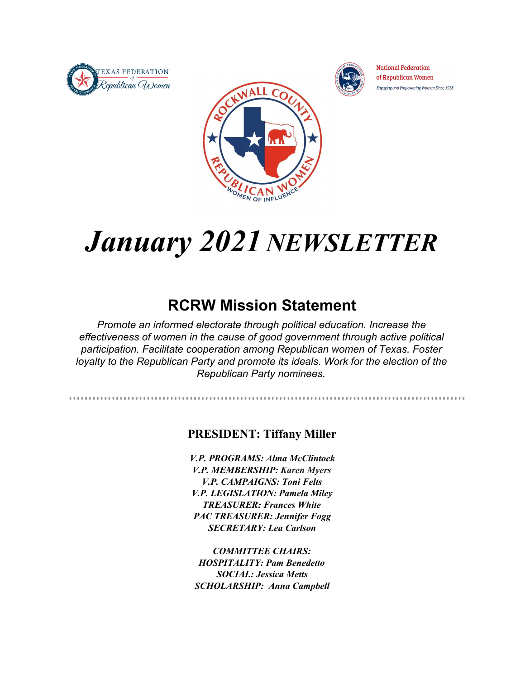



. . . . . . . . . . . . . . . . . .

**National Federation** of Republican Women Engaging and Empowering Women Since 1938



# *January 2021 NEWSLETTER*

## **RCRW Mission Statement**

*Promote an informed electorate through political education. Increase the effectiveness of women in the cause of good government through active political participation. Facilitate cooperation among Republican women of Texas. Foster loyalty to the Republican Party and promote its ideals. Work for the election of the Republican Party nominees.*

#### **PRESIDENT: Tiffany Miller**

*V.P. PROGRAMS: Alma McClintock V.P. MEMBERSHIP: Karen Myers V.P. CAMPAIGNS: Toni Felts V.P. LEGISLATION: Pamela Miley TREASURER: Frances White PAC TREASURER: Jennifer Fogg SECRETARY: Lea Carlson*

*COMMITTEE CHAIRS: HOSPITALITY: Pam Benedetto SOCIAL: Jessica Metts SCHOLARSHIP: Anna Campbell*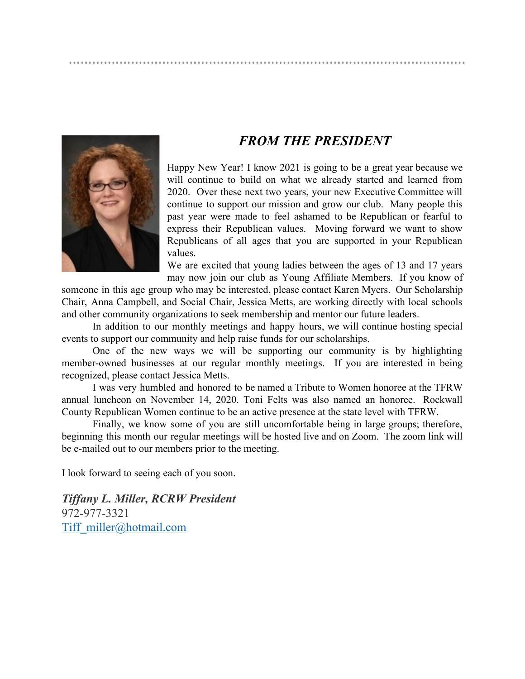## *FROM THE PRESIDENT*

Happy New Year! I know 2021 is going to be a great year because we will continue to build on what we already started and learned from 2020. Over these next two years, your new Executive Committee will continue to support our mission and grow our club. Many people this past year were made to feel ashamed to be Republican or fearful to express their Republican values. Moving forward we want to show Republicans of all ages that you are supported in your Republican values.

We are excited that young ladies between the ages of 13 and 17 years may now join our club as Young Affiliate Members. If you know of

someone in this age group who may be interested, please contact Karen Myers. Our Scholarship Chair, Anna Campbell, and Social Chair, Jessica Metts, are working directly with local schools and other community organizations to seek membership and mentor our future leaders.

In addition to our monthly meetings and happy hours, we will continue hosting special events to support our community and help raise funds for our scholarships.

One of the new ways we will be supporting our community is by highlighting member-owned businesses at our regular monthly meetings. If you are interested in being recognized, please contact Jessica Metts.

I was very humbled and honored to be named a Tribute to Women honoree at the TFRW annual luncheon on November 14, 2020. Toni Felts was also named an honoree. Rockwall County Republican Women continue to be an active presence at the state level with TFRW.

Finally, we know some of you are still uncomfortable being in large groups; therefore, beginning this month our regular meetings will be hosted live and on Zoom. The zoom link will be e-mailed out to our members prior to the meeting.

I look forward to seeing each of you soon.

*Tiffany L. Miller, RCRW President* 972-977-3321 Tiff\_miller@hotmail.com

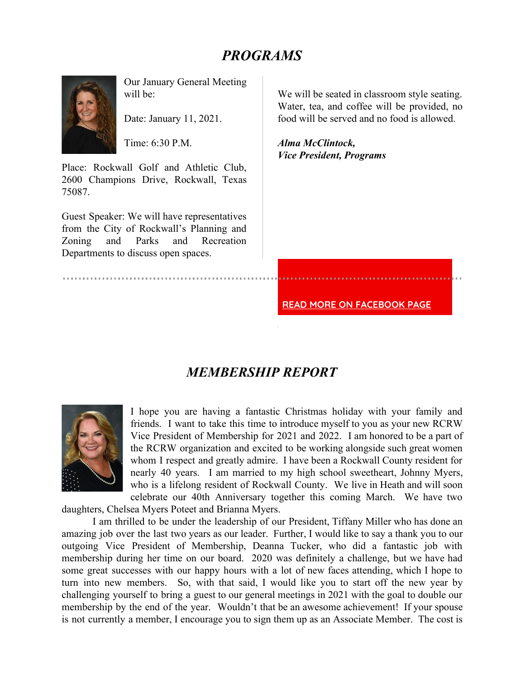## *PROGRAMS*



Our January General Meeting will be:

Date: January 11, 2021.

Time:  $6:30 \text{ P M}$ 

Place: Rockwall Golf and Athletic Club, 2600 Champions Drive, Rockwall, Texas 75087.

Guest Speaker: We will have representatives from the City of Rockwall's Planning and Zoning and Parks and Recreation Departments to discuss open spaces.

We will be seated in classroom style seating. Water, tea, and coffee will be provided, no food will be served and no food is allowed.

*Alma McClintock, Vice President, Programs*

**READ MORE ON FACEBOOK PAGE**

### *MEMBERSHIP REPORT*



I hope you are having a fantastic Christmas holiday with your family and friends. I want to take this time to introduce myself to you as your new RCRW Vice President of Membership for 2021 and 2022. I am honored to be a part of the RCRW organization and excited to be working alongside such great women whom I respect and greatly admire. I have been a Rockwall County resident for nearly 40 years. I am married to my high school sweetheart, Johnny Myers, who is a lifelong resident of Rockwall County. We live in Heath and will soon celebrate our 40th Anniversary together this coming March. We have two

daughters, Chelsea Myers Poteet and Brianna Myers.

I am thrilled to be under the leadership of our President, Tiffany Miller who has done an amazing job over the last two years as our leader. Further, I would like to say a thank you to our outgoing Vice President of Membership, Deanna Tucker, who did a fantastic job with membership during her time on our board. 2020 was definitely a challenge, but we have had some great successes with our happy hours with a lot of new faces attending, which I hope to turn into new members. So, with that said, I would like you to start off the new year by challenging yourself to bring a guest to our general meetings in 2021 with the goal to double our membership by the end of the year. Wouldn't that be an awesome achievement! If your spouse is not currently a member, I encourage you to sign them up as an Associate Member. The cost is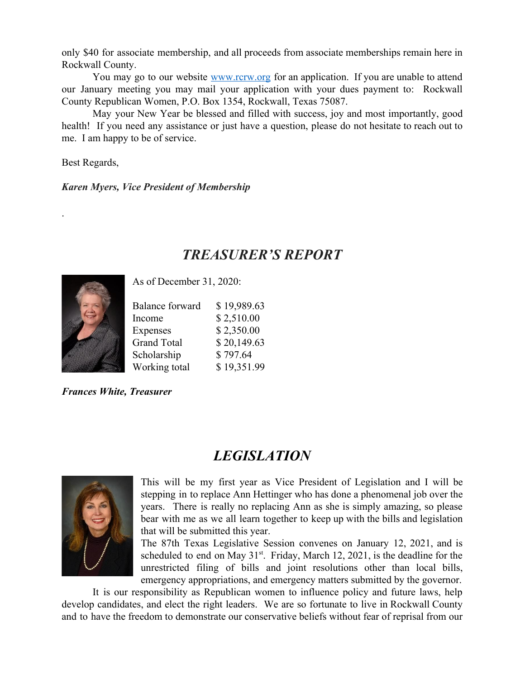only \$40 for associate membership, and all proceeds from associate memberships remain here in Rockwall County.

You may go to our website www.rcrw.org for an application. If you are unable to attend our January meeting you may mail your application with your dues payment to: Rockwall County Republican Women, P.O. Box 1354, Rockwall, Texas 75087.

May your New Year be blessed and filled with success, joy and most importantly, good health! If you need any assistance or just have a question, please do not hesitate to reach out to me. I am happy to be of service.

Best Regards,

.

*Karen Myers, Vice President of Membership*

## *TREASURER'S REPORT*



As of December 31, 2020:

| <b>Balance forward</b> | \$19,989.63 |
|------------------------|-------------|
| Income                 | \$2,510.00  |
| Expenses               | \$2,350.00  |
| <b>Grand Total</b>     | \$20,149.63 |
| Scholarship            | \$797.64    |
| Working total          | \$19,351.99 |

*Frances White, Treasurer*

## *LEGISLATION*



This will be my first year as Vice President of Legislation and I will be stepping in to replace Ann Hettinger who has done a phenomenal job over the years. There is really no replacing Ann as she is simply amazing, so please bear with me as we all learn together to keep up with the bills and legislation that will be submitted this year.

The 87th Texas Legislative Session convenes on January 12, 2021, and is scheduled to end on May  $31^{st}$ . Friday, March 12, 2021, is the deadline for the unrestricted filing of bills and joint resolutions other than local bills, emergency appropriations, and emergency matters submitted by the governor.

It is our responsibility as Republican women to influence policy and future laws, help develop candidates, and elect the right leaders. We are so fortunate to live in Rockwall County and to have the freedom to demonstrate our conservative beliefs without fear of reprisal from our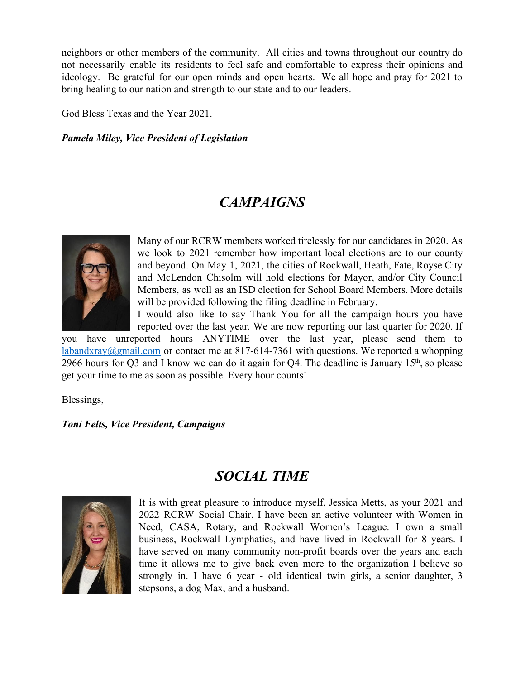neighbors or other members of the community. All cities and towns throughout our country do not necessarily enable its residents to feel safe and comfortable to express their opinions and ideology. Be grateful for our open minds and open hearts. We all hope and pray for 2021 to bring healing to our nation and strength to our state and to our leaders.

God Bless Texas and the Year 2021.

#### *Pamela Miley, Vice President of Legislation*

## *CAMPAIGNS*



Many of our RCRW members worked tirelessly for our candidates in 2020. As we look to 2021 remember how important local elections are to our county and beyond. On May 1, 2021, the cities of Rockwall, Heath, Fate, Royse City and McLendon Chisolm will hold elections for Mayor, and/or City Council Members, as well as an ISD election for School Board Members. More details will be provided following the filing deadline in February.

I would also like to say Thank You for all the campaign hours you have reported over the last year. We are now reporting our last quarter for 2020. If

you have unreported hours ANYTIME over the last year, please send them to labandxray@gmail.com or contact me at 817-614-7361 with questions. We reported a whopping 2966 hours for Q3 and I know we can do it again for Q4. The deadline is January  $15<sup>th</sup>$ , so please get your time to me as soon as possible. Every hour counts!

Blessings,

#### *Toni Felts, Vice President, Campaigns*

### *SOCIAL TIME*



It is with great pleasure to introduce myself, Jessica Metts, as your 2021 and 2022 RCRW Social Chair. I have been an active volunteer with Women in Need, CASA, Rotary, and Rockwall Women's League. I own a small business, Rockwall Lymphatics, and have lived in Rockwall for 8 years. I have served on many community non-profit boards over the years and each time it allows me to give back even more to the organization I believe so strongly in. I have 6 year - old identical twin girls, a senior daughter, 3 stepsons, a dog Max, and a husband.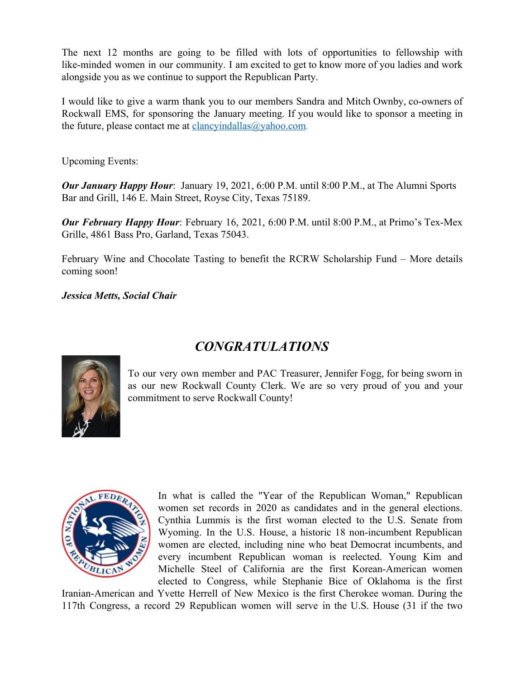The next 12 months are going to be filled with lots of opportunities to fellowship with like-minded women in our community. I am excited to get to know more of you ladies and work alongside you as we continue to support the Republican Party.

I would like to give a warm thank you to our members Sandra and Mitch Ownby, co-owners of Rockwall EMS, for sponsoring the January meeting. If you would like to sponsor a meeting in the future, please contact me at clancyindallas $@$ yahoo.com.

Upcoming Events:

*Our January Happy Hour*: January 19, 2021, 6:00 P.M. until 8:00 P.M., at The Alumni Sports Bar and Grill, 146 E. Main Street, Royse City, Texas 75189.

*Our February Happy Hour*: February 16, 2021, 6:00 P.M. until 8:00 P.M., at Primo's Tex-Mex Grille, 4861 Bass Pro, Garland, Texas 75043.

February Wine and Chocolate Tasting to benefit the RCRW Scholarship Fund – More details coming soon!

*Jessica Metts, Social Chair*

## *CONGRATULATIONS*



To our very own member and PAC Treasurer, Jennifer Fogg, for being sworn in as our new Rockwall County Clerk. We are so very proud of you and your commitment to serve Rockwall County!



In what is called the "Year of the Republican Woman," Republican women set records in 2020 as candidates and in the general elections. Cynthia Lummis is the first woman elected to the U.S. Senate from Wyoming. In the U.S. House, a historic 18 non-incumbent Republican women are elected, including nine who beat Democrat incumbents, and every incumbent Republican woman is reelected. Young Kim and Michelle Steel of California are the first Korean-American women elected to Congress, while Stephanie Bice of Oklahoma is the first

Iranian-American and Yvette Herrell of New Mexico is the first Cherokee woman. During the 117th Congress, a record 29 Republican women will serve in the U.S. House (31 if the two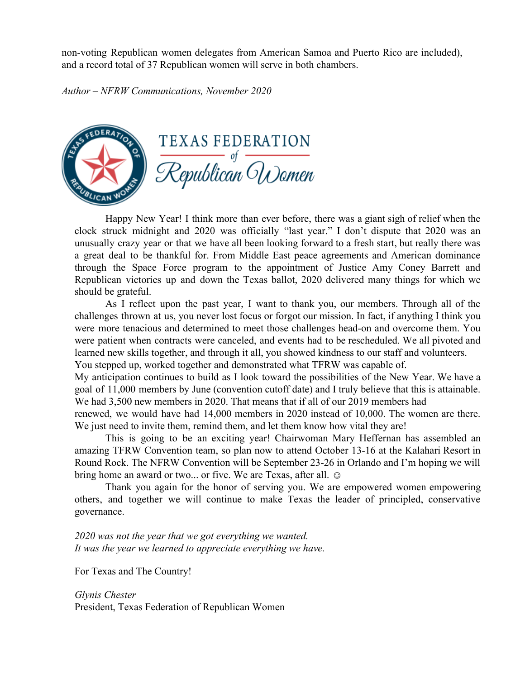non-voting Republican women delegates from American Samoa and Puerto Rico are included), and a record total of 37 Republican women will serve in both chambers.

*Author – NFRW Communications, November 2020*



Happy New Year! I think more than ever before, there was a giant sigh of relief when the clock struck midnight and 2020 was officially "last year." I don't dispute that 2020 was an unusually crazy year or that we have all been looking forward to a fresh start, but really there was a great deal to be thankful for. From Middle East peace agreements and American dominance through the Space Force program to the appointment of Justice Amy Coney Barrett and Republican victories up and down the Texas ballot, 2020 delivered many things for which we should be grateful.

As I reflect upon the past year, I want to thank you, our members. Through all of the challenges thrown at us, you never lost focus or forgot our mission. In fact, if anything I think you were more tenacious and determined to meet those challenges head-on and overcome them. You were patient when contracts were canceled, and events had to be rescheduled. We all pivoted and learned new skills together, and through it all, you showed kindness to our staff and volunteers. You stepped up, worked together and demonstrated what TFRW was capable of.

My anticipation continues to build as I look toward the possibilities of the New Year. We have a goal of 11,000 members by June (convention cutoff date) and I truly believe that this is attainable. We had 3,500 new members in 2020. That means that if all of our 2019 members had

renewed, we would have had 14,000 members in 2020 instead of 10,000. The women are there. We just need to invite them, remind them, and let them know how vital they are!

This is going to be an exciting year! Chairwoman Mary Heffernan has assembled an amazing TFRW Convention team, so plan now to attend October 13-16 at the Kalahari Resort in Round Rock. The NFRW Convention will be September 23-26 in Orlando and I'm hoping we will bring home an award or two... or five. We are Texas, after all.  $\odot$ 

Thank you again for the honor of serving you. We are empowered women empowering others, and together we will continue to make Texas the leader of principled, conservative governance.

*2020 was not the year that we got everything we wanted. It was the year we learned to appreciate everything we have.*

For Texas and The Country!

*Glynis Chester* President, Texas Federation of Republican Women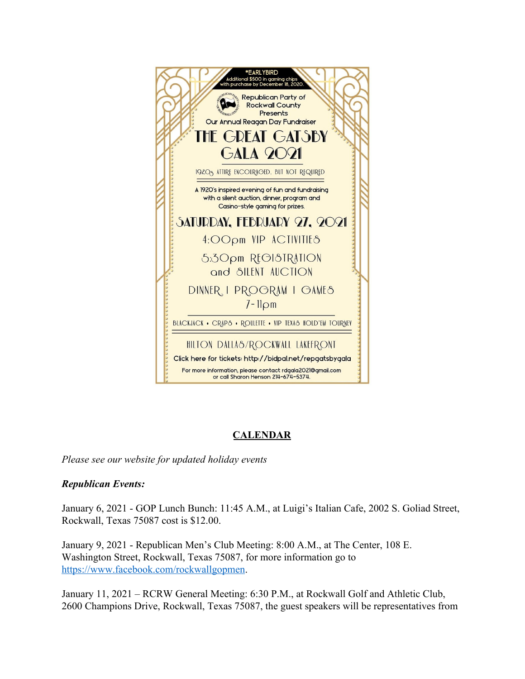

#### **CALENDAR**

*Please see our website for updated holiday events*

#### *Republican Events:*

January 6, 2021 - GOP Lunch Bunch: 11:45 A.M., at Luigi's Italian Cafe, 2002 S. Goliad Street, Rockwall, Texas 75087 cost is \$12.00.

January 9, 2021 - Republican Men's Club Meeting: 8:00 A.M., at The Center, 108 E. Washington Street, Rockwall, Texas 75087, for more information go to https://www.facebook.com/rockwallgopmen.

January 11, 2021 – RCRW General Meeting: 6:30 P.M., at Rockwall Golf and Athletic Club, 2600 Champions Drive, Rockwall, Texas 75087, the guest speakers will be representatives from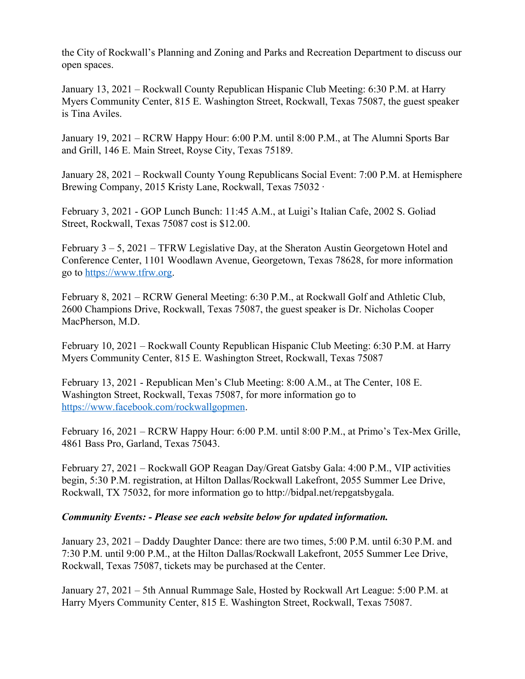the City of Rockwall's Planning and Zoning and Parks and Recreation Department to discuss our open spaces.

January 13, 2021 – Rockwall County Republican Hispanic Club Meeting: 6:30 P.M. at Harry Myers Community Center, 815 E. Washington Street, Rockwall, Texas 75087, the guest speaker is Tina Aviles.

January 19, 2021 – RCRW Happy Hour: 6:00 P.M. until 8:00 P.M., at The Alumni Sports Bar and Grill, 146 E. Main Street, Royse City, Texas 75189.

January 28, 2021 – Rockwall County Young Republicans Social Event: 7:00 P.M. at Hemisphere Brewing Company, 2015 Kristy Lane, Rockwall, Texas 75032 ·

February 3, 2021 - GOP Lunch Bunch: 11:45 A.M., at Luigi's Italian Cafe, 2002 S. Goliad Street, Rockwall, Texas 75087 cost is \$12.00.

February 3 – 5, 2021 – TFRW Legislative Day, at the Sheraton Austin Georgetown Hotel and Conference Center, 1101 Woodlawn Avenue, Georgetown, Texas 78628, for more information go to https://www.tfrw.org.

February 8, 2021 – RCRW General Meeting: 6:30 P.M., at Rockwall Golf and Athletic Club, 2600 Champions Drive, Rockwall, Texas 75087, the guest speaker is Dr. Nicholas Cooper MacPherson, M.D.

February 10, 2021 – Rockwall County Republican Hispanic Club Meeting: 6:30 P.M. at Harry Myers Community Center, 815 E. Washington Street, Rockwall, Texas 75087

February 13, 2021 - Republican Men's Club Meeting: 8:00 A.M., at The Center, 108 E. Washington Street, Rockwall, Texas 75087, for more information go to https://www.facebook.com/rockwallgopmen.

February 16, 2021 – RCRW Happy Hour: 6:00 P.M. until 8:00 P.M., at Primo's Tex-Mex Grille, 4861 Bass Pro, Garland, Texas 75043.

February 27, 2021 – Rockwall GOP Reagan Day/Great Gatsby Gala: 4:00 P.M., VIP activities begin, 5:30 P.M. registration, at Hilton Dallas/Rockwall Lakefront, 2055 Summer Lee Drive, Rockwall, TX 75032, for more information go to http://bidpal.net/repgatsbygala.

#### *Community Events: - Please see each website below for updated information.*

January 23, 2021 – Daddy Daughter Dance: there are two times, 5:00 P.M. until 6:30 P.M. and 7:30 P.M. until 9:00 P.M., at the Hilton Dallas/Rockwall Lakefront, 2055 Summer Lee Drive, Rockwall, Texas 75087, tickets may be purchased at the Center.

January 27, 2021 – 5th Annual Rummage Sale, Hosted by Rockwall Art League: 5:00 P.M. at Harry Myers Community Center, 815 E. Washington Street, Rockwall, Texas 75087.